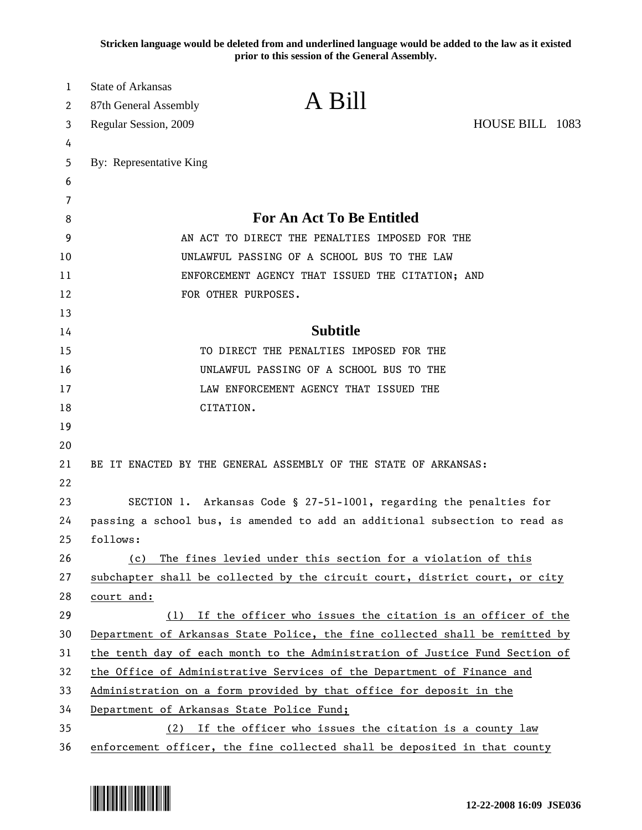**Stricken language would be deleted from and underlined language would be added to the law as it existed prior to this session of the General Assembly.**

| 1<br>2 | <b>State of Arkansas</b><br>87th General Assembly                            | A Bill                                                                       |                 |
|--------|------------------------------------------------------------------------------|------------------------------------------------------------------------------|-----------------|
| 3      | Regular Session, 2009                                                        |                                                                              | HOUSE BILL 1083 |
| 4      |                                                                              |                                                                              |                 |
| 5      | By: Representative King                                                      |                                                                              |                 |
| 6      |                                                                              |                                                                              |                 |
| 7      |                                                                              |                                                                              |                 |
| 8      | <b>For An Act To Be Entitled</b>                                             |                                                                              |                 |
| 9      | AN ACT TO DIRECT THE PENALTIES IMPOSED FOR THE                               |                                                                              |                 |
| 10     | UNLAWFUL PASSING OF A SCHOOL BUS TO THE LAW                                  |                                                                              |                 |
| 11     | ENFORCEMENT AGENCY THAT ISSUED THE CITATION; AND                             |                                                                              |                 |
| 12     | FOR OTHER PURPOSES.                                                          |                                                                              |                 |
| 13     |                                                                              |                                                                              |                 |
| 14     | <b>Subtitle</b>                                                              |                                                                              |                 |
| 15     | TO DIRECT THE PENALTIES IMPOSED FOR THE                                      |                                                                              |                 |
| 16     |                                                                              | UNLAWFUL PASSING OF A SCHOOL BUS TO THE                                      |                 |
| 17     |                                                                              | LAW ENFORCEMENT AGENCY THAT ISSUED THE                                       |                 |
| 18     | CITATION.                                                                    |                                                                              |                 |
| 19     |                                                                              |                                                                              |                 |
| 20     |                                                                              |                                                                              |                 |
| 21     | BE IT ENACTED BY THE GENERAL ASSEMBLY OF THE STATE OF ARKANSAS:              |                                                                              |                 |
| 22     |                                                                              |                                                                              |                 |
| 23     | SECTION 1. Arkansas Code § 27-51-1001, regarding the penalties for           |                                                                              |                 |
| 24     | passing a school bus, is amended to add an additional subsection to read as  |                                                                              |                 |
| 25     | follows:                                                                     |                                                                              |                 |
| 26     | (c)                                                                          | The fines levied under this section for a violation of this                  |                 |
| 27     |                                                                              | subchapter shall be collected by the circuit court, district court, or city  |                 |
| 28     | court and:                                                                   |                                                                              |                 |
| 29     | (1)                                                                          | If the officer who issues the citation is an officer of the                  |                 |
| 30     |                                                                              | Department of Arkansas State Police, the fine collected shall be remitted by |                 |
| 31     | the tenth day of each month to the Administration of Justice Fund Section of |                                                                              |                 |
| 32     | the Office of Administrative Services of the Department of Finance and       |                                                                              |                 |
| 33     | Administration on a form provided by that office for deposit in the          |                                                                              |                 |
| 34     | Department of Arkansas State Police Fund;                                    |                                                                              |                 |
| 35     | (2)                                                                          | If the officer who issues the citation is a county law                       |                 |
| 36     |                                                                              | enforcement officer, the fine collected shall be deposited in that county    |                 |